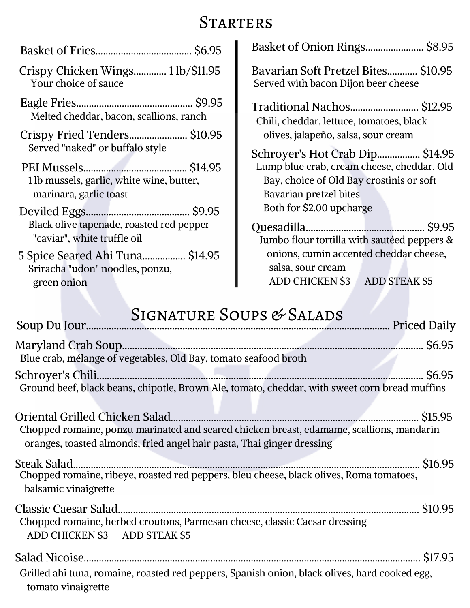## **STARTERS**

|                                                                         | Basket of Onion Rings \$8.95                                               |
|-------------------------------------------------------------------------|----------------------------------------------------------------------------|
| Crispy Chicken Wings 1 lb/\$11.95<br>Your choice of sauce               | Bavarian Soft Pretzel Bites \$10.95<br>Served with bacon Dijon beer cheese |
| Melted cheddar, bacon, scallions, ranch                                 | Traditional Nachos \$12.95<br>Chili, cheddar, lettuce, tomatoes, black     |
| Crispy Fried Tenders \$10.95                                            | olives, jalapeño, salsa, sour cream                                        |
| Served "naked" or buffalo style                                         | Schroyer's Hot Crab Dip \$14.95                                            |
|                                                                         | Lump blue crab, cream cheese, cheddar, Old                                 |
| 1 lb mussels, garlic, white wine, butter,                               | Bay, choice of Old Bay crostinis or soft                                   |
| marinara, garlic toast                                                  | Bavarian pretzel bites                                                     |
|                                                                         | Both for \$2.00 upcharge                                                   |
| Black olive tapenade, roasted red pepper<br>"caviar", white truffle oil | Jumbo flour tortilla with sautéed peppers &                                |
| 5 Spice Seared Ahi Tuna \$14.95                                         | onions, cumin accented cheddar cheese,                                     |
| Sriracha "udon" noodles, ponzu,                                         | salsa, sour cream                                                          |
| green onion                                                             | ADD CHICKEN \$3 ADD STEAK \$5                                              |
|                                                                         |                                                                            |

## SIGNATURE SOUPS & SALADS

| Blue crab, mélange of vegetables, Old Bay, tomato seafood broth                                                                                                    |  |
|--------------------------------------------------------------------------------------------------------------------------------------------------------------------|--|
| Ground beef, black beans, chipotle, Brown Ale, tomato, cheddar, with sweet corn bread muffins                                                                      |  |
| Chopped romaine, ponzu marinated and seared chicken breast, edamame, scallions, mandarin<br>oranges, toasted almonds, fried angel hair pasta, Thai ginger dressing |  |
| Steak Salad.<br>Chopped romaine, ribeye, roasted red peppers, bleu cheese, black olives, Roma tomatoes,<br>balsamic vinaigrette                                    |  |
| Chopped romaine, herbed croutons, Parmesan cheese, classic Caesar dressing<br>ADD CHICKEN \$3 ADD STEAK \$5                                                        |  |
| Grilled ahi tuna, romaine, roasted red peppers, Spanish onion, black olives, hard cooked egg,<br>tomato vinaigrette                                                |  |